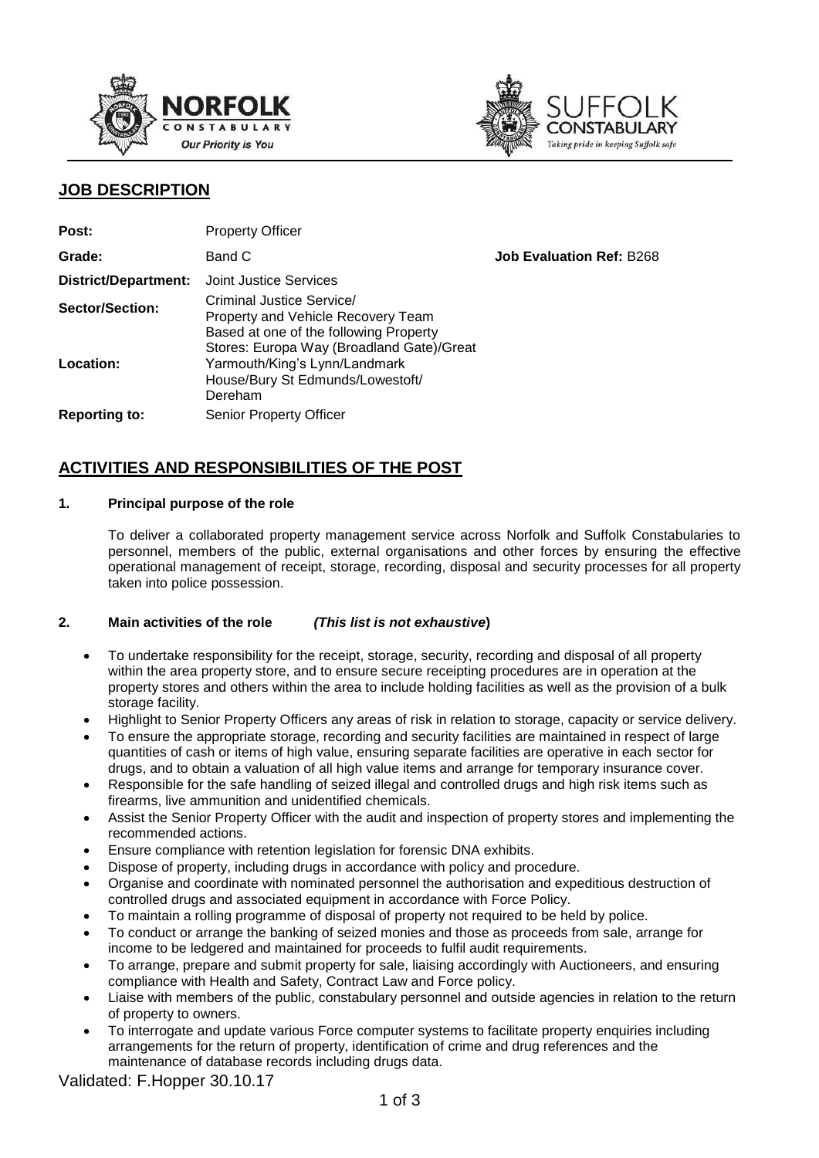



## **JOB DESCRIPTION**

| Post:                | <b>Property Officer</b>                                                                                                                                       |                                 |
|----------------------|---------------------------------------------------------------------------------------------------------------------------------------------------------------|---------------------------------|
| Grade:               | Band C                                                                                                                                                        | <b>Job Evaluation Ref: B268</b> |
| District/Department: | <b>Joint Justice Services</b>                                                                                                                                 |                                 |
| Sector/Section:      | Criminal Justice Service/<br><b>Property and Vehicle Recovery Team</b><br>Based at one of the following Property<br>Stores: Europa Way (Broadland Gate)/Great |                                 |
| Location:            | Yarmouth/King's Lynn/Landmark<br>House/Bury St Edmunds/Lowestoft/<br>Dereham                                                                                  |                                 |
| <b>Reporting to:</b> | <b>Senior Property Officer</b>                                                                                                                                |                                 |

# **ACTIVITIES AND RESPONSIBILITIES OF THE POST**

### **1. Principal purpose of the role**

To deliver a collaborated property management service across Norfolk and Suffolk Constabularies to personnel, members of the public, external organisations and other forces by ensuring the effective operational management of receipt, storage, recording, disposal and security processes for all property taken into police possession.

### **2. Main activities of the role** *(This list is not exhaustive***)**

- To undertake responsibility for the receipt, storage, security, recording and disposal of all property within the area property store, and to ensure secure receipting procedures are in operation at the property stores and others within the area to include holding facilities as well as the provision of a bulk storage facility.
- Highlight to Senior Property Officers any areas of risk in relation to storage, capacity or service delivery.
- To ensure the appropriate storage, recording and security facilities are maintained in respect of large quantities of cash or items of high value, ensuring separate facilities are operative in each sector for drugs, and to obtain a valuation of all high value items and arrange for temporary insurance cover.
- Responsible for the safe handling of seized illegal and controlled drugs and high risk items such as firearms, live ammunition and unidentified chemicals.
- Assist the Senior Property Officer with the audit and inspection of property stores and implementing the recommended actions.
- Ensure compliance with retention legislation for forensic DNA exhibits.
- Dispose of property, including drugs in accordance with policy and procedure.
- Organise and coordinate with nominated personnel the authorisation and expeditious destruction of controlled drugs and associated equipment in accordance with Force Policy.
- To maintain a rolling programme of disposal of property not required to be held by police.
- To conduct or arrange the banking of seized monies and those as proceeds from sale, arrange for income to be ledgered and maintained for proceeds to fulfil audit requirements.
- To arrange, prepare and submit property for sale, liaising accordingly with Auctioneers, and ensuring compliance with Health and Safety, Contract Law and Force policy.
- Liaise with members of the public, constabulary personnel and outside agencies in relation to the return of property to owners.
- To interrogate and update various Force computer systems to facilitate property enquiries including arrangements for the return of property, identification of crime and drug references and the maintenance of database records including drugs data.

Validated: F.Hopper 30.10.17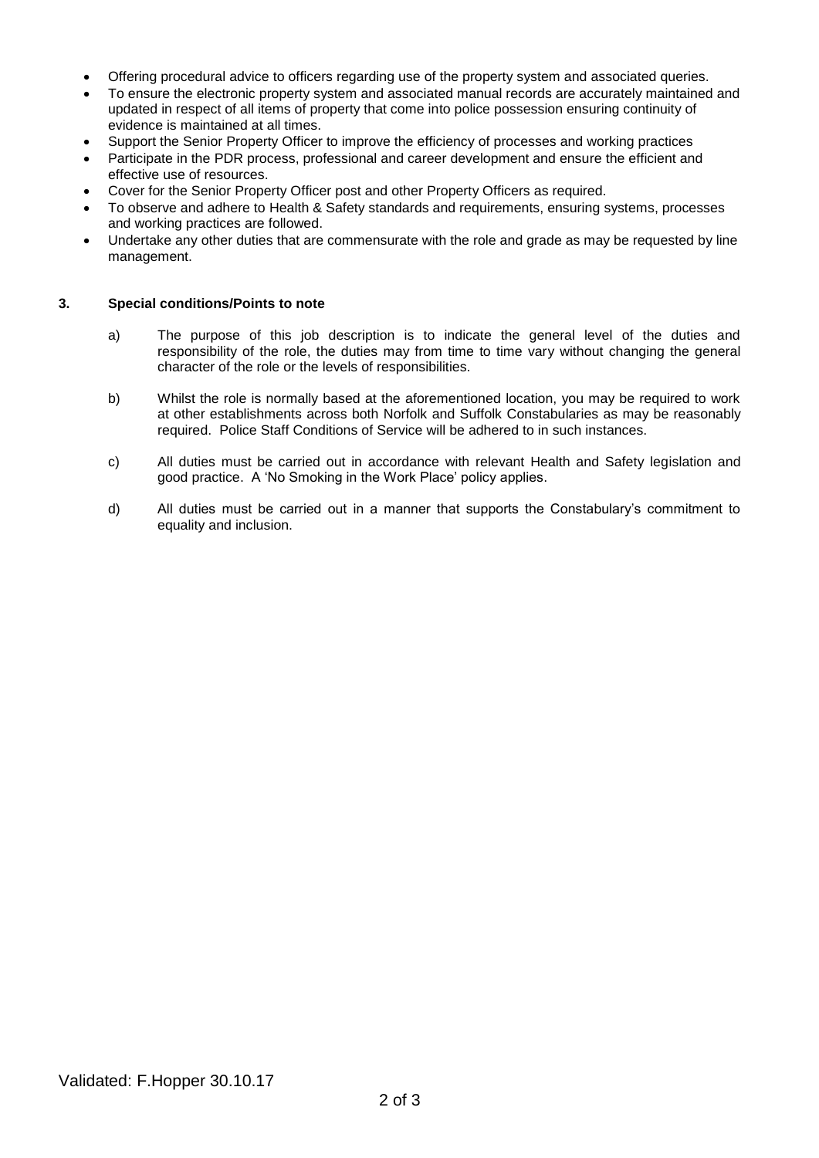- Offering procedural advice to officers regarding use of the property system and associated queries.
- To ensure the electronic property system and associated manual records are accurately maintained and updated in respect of all items of property that come into police possession ensuring continuity of evidence is maintained at all times.
- Support the Senior Property Officer to improve the efficiency of processes and working practices
- Participate in the PDR process, professional and career development and ensure the efficient and effective use of resources.
- Cover for the Senior Property Officer post and other Property Officers as required.
- To observe and adhere to Health & Safety standards and requirements, ensuring systems, processes and working practices are followed.
- Undertake any other duties that are commensurate with the role and grade as may be requested by line management.

#### **3. Special conditions/Points to note**

- a) The purpose of this job description is to indicate the general level of the duties and responsibility of the role, the duties may from time to time vary without changing the general character of the role or the levels of responsibilities.
- b) Whilst the role is normally based at the aforementioned location, you may be required to work at other establishments across both Norfolk and Suffolk Constabularies as may be reasonably required. Police Staff Conditions of Service will be adhered to in such instances.
- c) All duties must be carried out in accordance with relevant Health and Safety legislation and good practice. A 'No Smoking in the Work Place' policy applies.
- d) All duties must be carried out in a manner that supports the Constabulary's commitment to equality and inclusion.